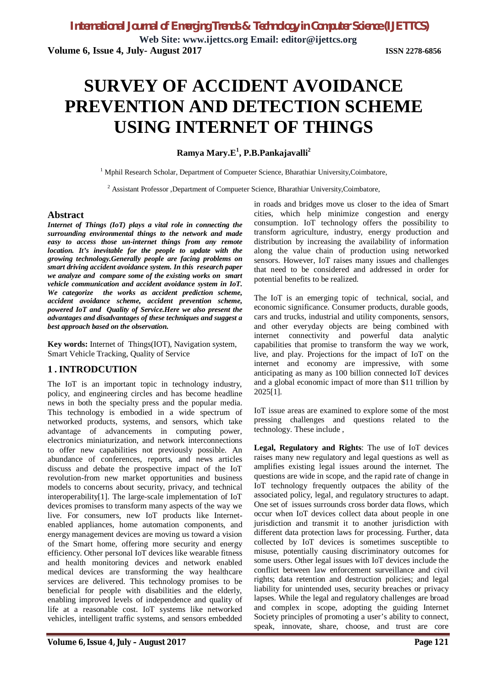**Web Site: www.ijettcs.org Email: editor@ijettcs.org Volume 6, Issue 4, July- August 2017 ISSN 2278-6856**

# **SURVEY OF ACCIDENT AVOIDANCE PREVENTION AND DETECTION SCHEME USING INTERNET OF THINGS**

**Ramya Mary.E<sup>1</sup> , P.B.Pankajavalli<sup>2</sup>**

<sup>1</sup> Mphil Research Scholar, Department of Compueter Science, Bharathiar University, Coimbatore,

<sup>2</sup> Assistant Professor ,Department of Compueter Science, Bharathiar University,Coimbatore,

### **Abstract**

*Internet of Things (IoT) plays a vital role in connecting the surrounding environmental things to the network and made easy to access those un-internet things from any remote location. It's inevitable for the people to update with the growing technology.Generally people are facing problems on smart driving accident avoidance system. In this research paper we analyze and compare some of the existing works on smart vehicle communication and accident avoidance system in IoT. We categorize the works as accident prediction scheme, accident avoidance scheme, accident prevention scheme, powered IoT and Quality of Service.Here we also present the advantages and disadvantages of these techniques and suggest a best approach based on the observation.* 

**Key words:** Internet of Things(IOT), Navigation system, Smart Vehicle Tracking, Quality of Service

## **1 . INTRODCUTION**

The IoT is an important topic in technology industry, policy, and engineering circles and has become headline news in both the specialty press and the popular media. This technology is embodied in a wide spectrum of networked products, systems, and sensors, which take advantage of advancements in computing power, electronics miniaturization, and network interconnections to offer new capabilities not previously possible. An abundance of conferences, reports, and news articles discuss and debate the prospective impact of the IoT revolution-from new market opportunities and business models to concerns about security, privacy, and technical interoperability[1]. The large-scale implementation of IoT devices promises to transform many aspects of the way we live. For consumers, new IoT products like Internetenabled appliances, home automation components, and energy management devices are moving us toward a vision of the Smart home, offering more security and energy efficiency. Other personal IoT devices like wearable fitness and health monitoring devices and network enabled medical devices are transforming the way healthcare services are delivered. This technology promises to be beneficial for people with disabilities and the elderly, enabling improved levels of independence and quality of life at a reasonable cost. IoT systems like networked vehicles, intelligent traffic systems, and sensors embedded

in roads and bridges move us closer to the idea of Smart cities, which help minimize congestion and energy consumption. IoT technology offers the possibility to transform agriculture, industry, energy production and distribution by increasing the availability of information along the value chain of production using networked sensors. However, IoT raises many issues and challenges that need to be considered and addressed in order for potential benefits to be realized.

The IoT is an emerging topic of technical, social, and economic significance. Consumer products, durable goods, cars and trucks, industrial and utility components, sensors, and other everyday objects are being combined with internet connectivity and powerful data analytic capabilities that promise to transform the way we work, live, and play. Projections for the impact of IoT on the internet and economy are impressive, with some anticipating as many as 100 billion connected IoT devices and a global economic impact of more than \$11 trillion by 2025[1].

IoT issue areas are examined to explore some of the most pressing challenges and questions related to the technology. These include ,

**Legal, Regulatory and Rights**: The use of IoT devices raises many new regulatory and legal questions as well as amplifies existing legal issues around the internet. The questions are wide in scope, and the rapid rate of change in IoT technology frequently outpaces the ability of the associated policy, legal, and regulatory structures to adapt. One set of issues surrounds cross border data flows, which occur when IoT devices collect data about people in one jurisdiction and transmit it to another jurisdiction with different data protection laws for processing. Further, data collected by IoT devices is sometimes susceptible to misuse, potentially causing discriminatory outcomes for some users. Other legal issues with IoT devices include the conflict between law enforcement surveillance and civil rights; data retention and destruction policies; and legal liability for unintended uses, security breaches or privacy lapses. While the legal and regulatory challenges are broad and complex in scope, adopting the guiding Internet Society principles of promoting a user's ability to connect, speak, innovate, share, choose, and trust are core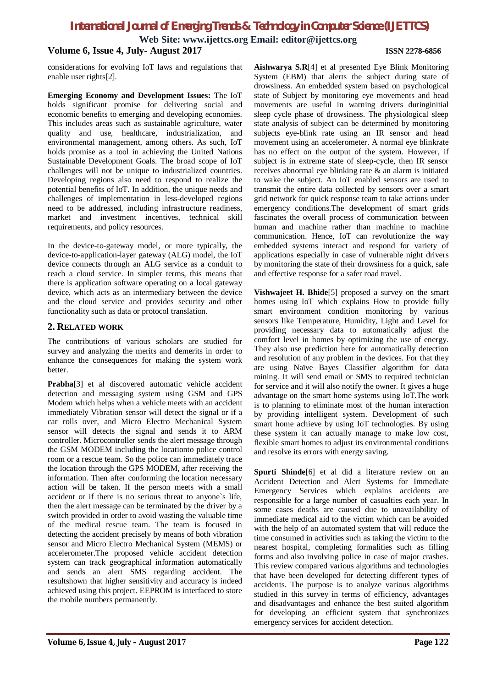**Web Site: www.ijettcs.org Email: editor@ijettcs.org**

### **Volume 6, Issue 4, July- August 2017 ISSN 2278-6856**

considerations for evolving IoT laws and regulations that enable user rights[2].

**Emerging Economy and Development Issues:** The IoT holds significant promise for delivering social and economic benefits to emerging and developing economies. This includes areas such as sustainable agriculture, water quality and use, healthcare, industrialization, and environmental management, among others. As such, IoT holds promise as a tool in achieving the United Nations Sustainable Development Goals. The broad scope of IoT challenges will not be unique to industrialized countries. Developing regions also need to respond to realize the potential benefits of IoT. In addition, the unique needs and challenges of implementation in less-developed regions need to be addressed, including infrastructure readiness, market and investment incentives, technical skill requirements, and policy resources.

In the device-to-gateway model, or more typically, the device-to-application-layer gateway (ALG) model, the IoT device connects through an ALG service as a conduit to reach a cloud service. In simpler terms, this means that there is application software operating on a local gateway device, which acts as an intermediary between the device and the cloud service and provides security and other functionality such as data or protocol translation.

## **2. RELATED WORK**

The contributions of various scholars are studied for survey and analyzing the merits and demerits in order to enhance the consequences for making the system work better.

**Prabha**[3] et al discovered automatic vehicle accident detection and messaging system using GSM and GPS Modem which helps when a vehicle meets with an accident immediately Vibration sensor will detect the signal or if a car rolls over, and Micro Electro Mechanical System sensor will detects the signal and sends it to ARM controller. Microcontroller sends the alert message through the GSM MODEM including the locationto police control room or a rescue team. So the police can immediately trace the location through the GPS MODEM, after receiving the information. Then after conforming the location necessary action will be taken. If the person meets with a small accident or if there is no serious threat to anyone`s life, then the alert message can be terminated by the driver by a switch provided in order to avoid wasting the valuable time of the medical rescue team. The team is focused in detecting the accident precisely by means of both vibration sensor and Micro Electro Mechanical System (MEMS) or accelerometer.The proposed vehicle accident detection system can track geographical information automatically and sends an alert SMS regarding accident. The resultshown that higher sensitivity and accuracy is indeed achieved using this project. EEPROM is interfaced to store the mobile numbers permanently.

**Aishwarya S.R**[4] et al presented Eye Blink Monitoring System (EBM) that alerts the subject during state of drowsiness. An embedded system based on psychological state of Subject by monitoring eye movements and head movements are useful in warning drivers duringinitial sleep cycle phase of drowsiness. The physiological sleep state analysis of subject can be determined by monitoring subjects eye-blink rate using an IR sensor and head movement using an accelerometer. A normal eve blinkrate has no effect on the output of the system. However, if subject is in extreme state of sleep-cycle, then IR sensor receives abnormal eye blinking rate & an alarm is initiated to wake the subject. An IoT enabled sensors are used to transmit the entire data collected by sensors over a smart grid network for quick response team to take actions under emergency conditions.The development of smart grids fascinates the overall process of communication between human and machine rather than machine to machine communication. Hence, IoT can revolutionize the way embedded systems interact and respond for variety of applications especially in case of vulnerable night drivers by monitoring the state of their drowsiness for a quick, safe and effective response for a safer road travel.

**Vishwajeet H. Bhide**[5] proposed a survey on the smart homes using IoT which explains How to provide fully smart environment condition monitoring by various sensors like Temperature, Humidity, Light and Level for providing necessary data to automatically adjust the comfort level in homes by optimizing the use of energy. They also use prediction here for automatically detection and resolution of any problem in the devices. For that they are using Naïve Bayes Classifier algorithm for data mining. It will send email or SMS to required technician for service and it will also notify the owner. It gives a huge advantage on the smart home systems using IoT.The work is to planning to eliminate most of the human interaction by providing intelligent system. Development of such smart home achieve by using IoT technologies. By using these system it can actually manage to make low cost, flexible smart homes to adjust its environmental conditions and resolve its errors with energy saving.

**Spurti Shinde**[6] et al did a literature review on an Accident Detection and Alert Systems for Immediate Emergency Services which explains accidents are responsible for a large number of casualties each year. In some cases deaths are caused due to unavailability of immediate medical aid to the victim which can be avoided with the help of an automated system that will reduce the time consumed in activities such as taking the victim to the nearest hospital, completing formalities such as filling forms and also involving police in case of major crashes. This review compared various algorithms and technologies that have been developed for detecting different types of accidents. The purpose is to analyze various algorithms studied in this survey in terms of efficiency, advantages and disadvantages and enhance the best suited algorithm for developing an efficient system that synchronizes emergency services for accident detection.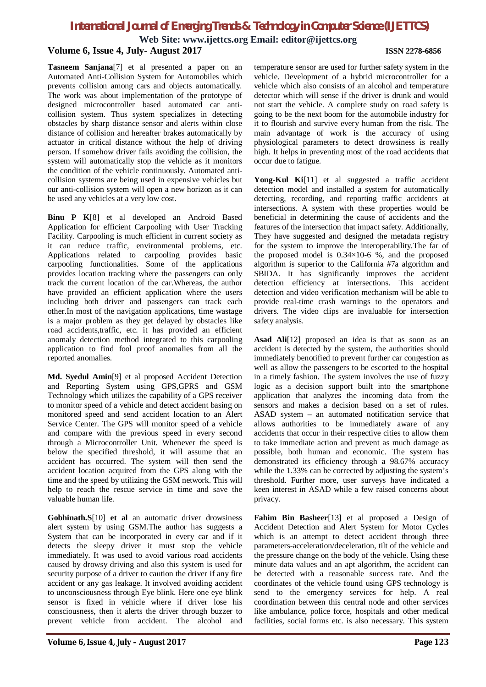**Web Site: www.ijettcs.org Email: editor@ijettcs.org Volume 6, Issue 4, July- August 2017 ISSN 2278-6856**

**Tasneem Sanjana**[7] et al presented a paper on an Automated Anti-Collision System for Automobiles which prevents collision among cars and objects automatically. The work was about implementation of the prototype of designed microcontroller based automated car anticollision system. Thus system specializes in detecting obstacles by sharp distance sensor and alerts within close distance of collision and hereafter brakes automatically by actuator in critical distance without the help of driving person. If somehow driver fails avoiding the collision, the system will automatically stop the vehicle as it monitors the condition of the vehicle continuously. Automated anticollision systems are being used in expensive vehicles but our anti-collision system will open a new horizon as it can be used any vehicles at a very low cost.

**Binu P K**[8] et al developed an Android Based Application for efficient Carpooling with User Tracking Facility. Carpooling is much efficient in current society as it can reduce traffic, environmental problems, etc. Applications related to carpooling provides basic carpooling functionalities. Some of the applications provides location tracking where the passengers can only track the current location of the car.Whereas, the author have provided an efficient application where the users including both driver and passengers can track each other.In most of the navigation applications, time wastage is a major problem as they get delayed by obstacles like road accidents,traffic, etc. it has provided an efficient anomaly detection method integrated to this carpooling application to find fool proof anomalies from all the reported anomalies.

**Md. Syedul Amin**[9] et al proposed Accident Detection and Reporting System using GPS,GPRS and GSM Technology which utilizes the capability of a GPS receiver to monitor speed of a vehicle and detect accident basing on monitored speed and send accident location to an Alert Service Center. The GPS will monitor speed of a vehicle and compare with the previous speed in every second through a Microcontroller Unit. Whenever the speed is below the specified threshold, it will assume that an accident has occurred. The system will then send the accident location acquired from the GPS along with the time and the speed by utilizing the GSM network. This will help to reach the rescue service in time and save the valuable human life.

**Gobhinath.S**[10] **et al** an automatic driver drowsiness alert system by using GSM.The author has suggests a System that can be incorporated in every car and if it detects the sleepy driver it must stop the vehicle immediately. It was used to avoid various road accidents caused by drowsy driving and also this system is used for security purpose of a driver to caution the driver if any fire accident or any gas leakage. It involved avoiding accident to unconsciousness through Eye blink. Here one eye blink sensor is fixed in vehicle where if driver lose his consciousness, then it alerts the driver through buzzer to prevent vehicle from accident. The alcohol and

temperature sensor are used for further safety system in the vehicle. Development of a hybrid microcontroller for a vehicle which also consists of an alcohol and temperature detector which will sense if the driver is drunk and would not start the vehicle. A complete study on road safety is going to be the next boom for the automobile industry for it to flourish and survive every human from the risk. The main advantage of work is the accuracy of using physiological parameters to detect drowsiness is really high. It helps in preventing most of the road accidents that occur due to fatigue.

**Yong-Kul Ki**[11] et al suggested a traffic accident detection model and installed a system for automatically detecting, recording, and reporting traffic accidents at intersections. A system with these properties would be beneficial in determining the cause of accidents and the features of the intersection that impact safety. Additionally, They have suggested and designed the metadata registry for the system to improve the interoperability*.*The far of the proposed model is  $0.34 \times 10^{-6}$  %, and the proposed algorithm is superior to the California #7a algorithm and SBIDA. It has significantly improves the accident detection efficiency at intersections. This accident detection and video verification mechanism will be able to provide real-time crash warnings to the operators and drivers. The video clips are invaluable for intersection safety analysis.

**Asad Ali**[12] proposed an idea is that as soon as an accident is detected by the system, the authorities should immediately benotified to prevent further car congestion as well as allow the passengers to be escorted to the hospital in a timely fashion. The system involves the use of fuzzy logic as a decision support built into the smartphone application that analyzes the incoming data from the sensors and makes a decision based on a set of rules. ASAD system – an automated notification service that allows authorities to be immediately aware of any accidents that occur in their respective cities to allow them to take immediate action and prevent as much damage as possible, both human and economic. The system has demonstrated its efficiency through a 98.67% accuracy while the 1.33% can be corrected by adjusting the system's threshold. Further more, user surveys have indicated a keen interest in ASAD while a few raised concerns about privacy.

**Fahim Bin Basheer**[13] et al proposed a Design of Accident Detection and Alert System for Motor Cycles which is an attempt to detect accident through three parameters-acceleration/deceleration, tilt of the vehicle and the pressure change on the body of the vehicle. Using these minute data values and an apt algorithm, the accident can be detected with a reasonable success rate. And the coordinates of the vehicle found using GPS technology is send to the emergency services for help. A real coordination between this central node and other services like ambulance, police force, hospitals and other medical facilities, social forms etc. is also necessary. This system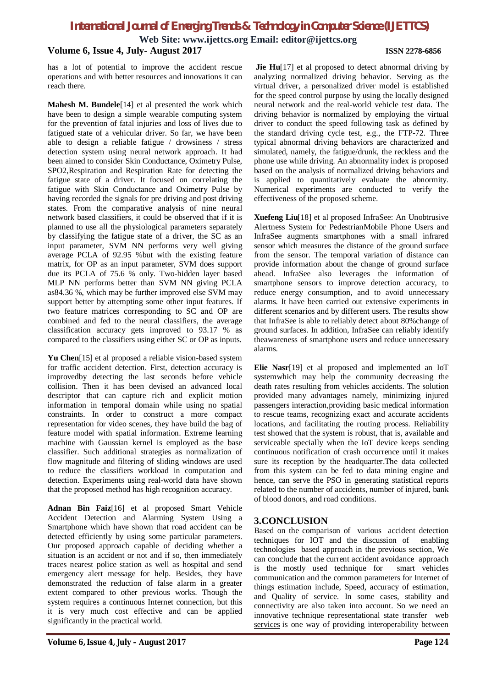**Web Site: www.ijettcs.org Email: editor@ijettcs.org**

# **Volume 6, Issue 4, July- August 2017 ISSN 2278-6856**

has a lot of potential to improve the accident rescue operations and with better resources and innovations it can reach there.

**Mahesh M. Bundele**[14] et al presented the work which have been to design a simple wearable computing system for the prevention of fatal injuries and loss of lives due to fatigued state of a vehicular driver. So far, we have been able to design a reliable fatigue / drowsiness / stress detection system using neural network approach. It had been aimed to consider Skin Conductance, Oximetry Pulse, SPO2,Respiration and Respiration Rate for detecting the fatigue state of a driver. It focused on correlating the fatigue with Skin Conductance and Oximetry Pulse by having recorded the signals for pre driving and post driving states. From the comparative analysis of nine neural network based classifiers, it could be observed that if it is planned to use all the physiological parameters separately by classifying the fatigue state of a driver, the SC as an input parameter, SVM NN performs very well giving average PCLA of 92.95 %but with the existing feature matrix, for OP as an input parameter, SVM does support due its PCLA of 75.6 % only. Two-hidden layer based MLP NN performs better than SVM NN giving PCLA as84.36 %, which may be further improved else SVM may support better by attempting some other input features. If two feature matrices corresponding to SC and OP are combined and fed to the neural classifiers, the average classification accuracy gets improved to 93.17 % as compared to the classifiers using either SC or OP as inputs.

**Yu Chen**[15] et al proposed a reliable vision-based system for traffic accident detection. First, detection accuracy is improvedby detecting the last seconds before vehicle collision. Then it has been devised an advanced local descriptor that can capture rich and explicit motion information in temporal domain while using no spatial constraints. In order to construct a more compact representation for video scenes, they have build the bag of feature model with spatial information. Extreme learning machine with Gaussian kernel is employed as the base classifier. Such additional strategies as normalization of flow magnitude and filtering of sliding windows are used to reduce the classifiers workload in computation and detection. Experiments using real-world data have shown that the proposed method has high recognition accuracy.

**Adnan Bin Faiz**[16] et al proposed Smart Vehicle Accident Detection and Alarming System Using a Smartphone which have shown that road accident can be detected efficiently by using some particular parameters. Our proposed approach capable of deciding whether a situation is an accident or not and if so, then immediately traces nearest police station as well as hospital and send emergency alert message for help. Besides, they have demonstrated the reduction of false alarm in a greater extent compared to other previous works. Though the system requires a continuous Internet connection, but this it is very much cost effective and can be applied significantly in the practical world.

**Jie Hu**[17] et al proposed to detect abnormal driving by analyzing normalized driving behavior. Serving as the virtual driver, a personalized driver model is established for the speed control purpose by using the locally designed neural network and the real-world vehicle test data. The driving behavior is normalized by employing the virtual driver to conduct the speed following task as defined by the standard driving cycle test, e.g., the FTP-72. Three typical abnormal driving behaviors are characterized and simulated, namely, the fatigue/drunk, the reckless and the phone use while driving. An abnormality index is proposed based on the analysis of normalized driving behaviors and is applied to quantitatively evaluate the abnormity. Numerical experiments are conducted to verify the effectiveness of the proposed scheme.

**Xuefeng Liu**[18] et al proposed InfraSee: An Unobtrusive Alertness System for PedestrianMobile Phone Users and InfraSee augments smartphones with a small infrared sensor which measures the distance of the ground surface from the sensor. The temporal variation of distance can provide information about the change of ground surface ahead. InfraSee also leverages the information of smartphone sensors to improve detection accuracy, to reduce energy consumption, and to avoid unnecessary alarms. It have been carried out extensive experiments in different scenarios and by different users. The results show that InfraSee is able to reliably detect about 80%change of ground surfaces. In addition, InfraSee can reliably identify theawareness of smartphone users and reduce unnecessary alarms.

**Elie Nasr**[19] et al proposed and implemented an IoT systemwhich may help the community decreasing the death rates resulting from vehicles accidents. The solution provided many advantages namely, minimizing injured passengers interaction,providing basic medical information to rescue teams, recognizing exact and accurate accidents locations, and facilitating the routing process. Reliability test showed that the system is robust, that is, available and serviceable specially when the IoT device keeps sending continuous notification of crash occurrence until it makes sure its reception by the headquarter.The data collected from this system can be fed to data mining engine and hence, can serve the PSO in generating statistical reports related to the number of accidents, number of injured, bank of blood donors, and road conditions.

## **3.CONCLUSION**

Based on the comparison of various accident detection techniques for IOT and the discussion of enabling technologies based approach in the previous section, We can conclude that the current accident avoidance approach is the mostly used technique for smart vehicles communication and the common parameters for Internet of things estimation include, Speed, accuracy of estimation, and Quality of service. In some cases, stability and connectivity are also taken into account. So we need an innovative technique representational state transfer web services is one way of providing interoperability between